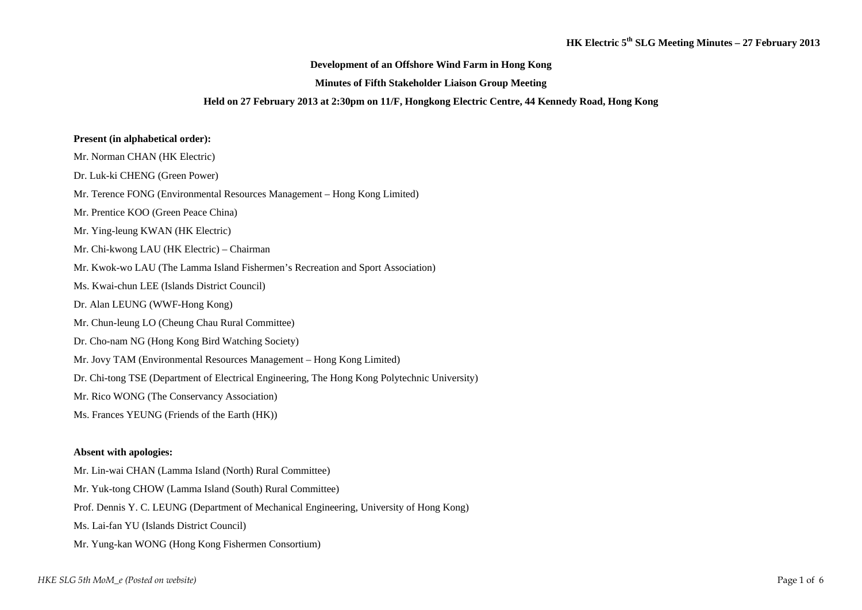### **Development of an Offshore Wind Farm in Hong Kong**

#### **Minutes of Fifth Stakeholder Liaison Group Meeting**

#### **Held on 27 February 2013 at 2:30pm on 11/F, Hongkong Electric Centre, 44 Kennedy Road, Hong Kong**

### **Present (in alphabetical order):**

- Mr. Norman CHAN (HK Electric)
- Dr. Luk-ki CHENG (Green Power)
- Mr. Terence FONG (Environmental Resources Management Hong Kong Limited)
- Mr. Prentice KOO (Green Peace China)
- Mr. Ying-leung KWAN (HK Electric)
- Mr. Chi-kwong LAU (HK Electric) Chairman
- Mr. Kwok-wo LAU (The Lamma Island Fishermen's Recreation and Sport Association)
- Ms. Kwai-chun LEE (Islands District Council)
- Dr. Alan LEUNG (WWF-Hong Kong)
- Mr. Chun-leung LO (Cheung Chau Rural Committee)
- Dr. Cho-nam NG (Hong Kong Bird Watching Society)
- Mr. Jovy TAM (Environmental Resources Management Hong Kong Limited)
- Dr. Chi-tong TSE (Department of Electrical Engineering, The Hong Kong Polytechnic University)
- Mr. Rico WONG (The Conservancy Association)
- Ms. Frances YEUNG (Friends of the Earth (HK))

#### **Absent with apologies:**

- Mr. Lin-wai CHAN (Lamma Island (North) Rural Committee)
- Mr. Yuk-tong CHOW (Lamma Island (South) Rural Committee)
- Prof. Dennis Y. C. LEUNG (Department of Mechanical Engineering, University of Hong Kong)
- Ms. Lai-fan YU (Islands District Council)
- Mr. Yung-kan WONG (Hong Kong Fishermen Consortium)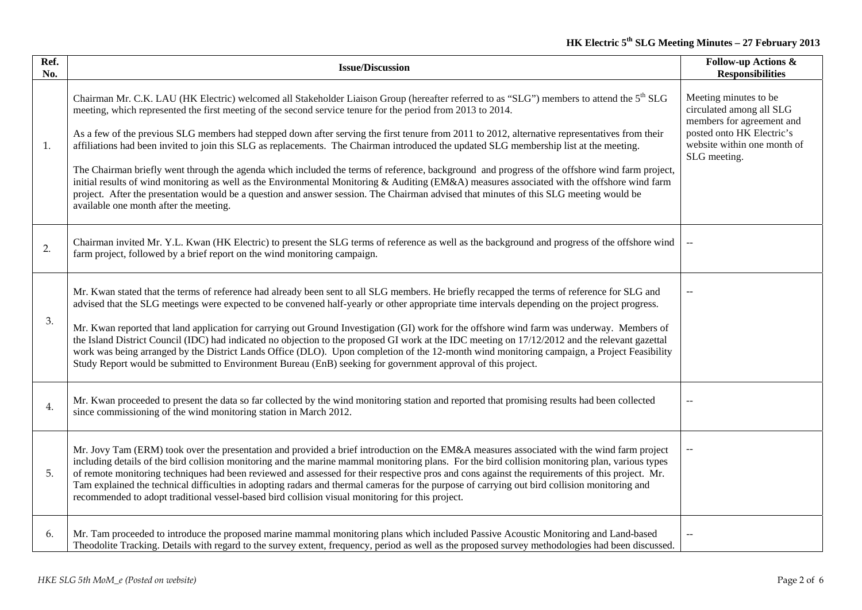# **HK Electric 5th SLG Meeting Minutes – 27 February 2013**

| Ref.<br>No. | <b>Issue/Discussion</b>                                                                                                                                                                                                                                                                                                                                                                                                                                                                                                                                                                                                                                                                                                                                                                                                                                                                                                                                                                                                                                 | <b>Follow-up Actions &amp;</b><br><b>Responsibilities</b>                                                                                                  |
|-------------|---------------------------------------------------------------------------------------------------------------------------------------------------------------------------------------------------------------------------------------------------------------------------------------------------------------------------------------------------------------------------------------------------------------------------------------------------------------------------------------------------------------------------------------------------------------------------------------------------------------------------------------------------------------------------------------------------------------------------------------------------------------------------------------------------------------------------------------------------------------------------------------------------------------------------------------------------------------------------------------------------------------------------------------------------------|------------------------------------------------------------------------------------------------------------------------------------------------------------|
| 1.          | Chairman Mr. C.K. LAU (HK Electric) welcomed all Stakeholder Liaison Group (hereafter referred to as "SLG") members to attend the 5 <sup>th</sup> SLG<br>meeting, which represented the first meeting of the second service tenure for the period from 2013 to 2014.<br>As a few of the previous SLG members had stepped down after serving the first tenure from 2011 to 2012, alternative representatives from their<br>affiliations had been invited to join this SLG as replacements. The Chairman introduced the updated SLG membership list at the meeting.<br>The Chairman briefly went through the agenda which included the terms of reference, background and progress of the offshore wind farm project,<br>initial results of wind monitoring as well as the Environmental Monitoring & Auditing (EM&A) measures associated with the offshore wind farm<br>project. After the presentation would be a question and answer session. The Chairman advised that minutes of this SLG meeting would be<br>available one month after the meeting. | Meeting minutes to be<br>circulated among all SLG<br>members for agreement and<br>posted onto HK Electric's<br>website within one month of<br>SLG meeting. |
| 2.          | Chairman invited Mr. Y.L. Kwan (HK Electric) to present the SLG terms of reference as well as the background and progress of the offshore wind<br>farm project, followed by a brief report on the wind monitoring campaign.                                                                                                                                                                                                                                                                                                                                                                                                                                                                                                                                                                                                                                                                                                                                                                                                                             |                                                                                                                                                            |
| 3.          | Mr. Kwan stated that the terms of reference had already been sent to all SLG members. He briefly recapped the terms of reference for SLG and<br>advised that the SLG meetings were expected to be convened half-yearly or other appropriate time intervals depending on the project progress.<br>Mr. Kwan reported that land application for carrying out Ground Investigation (GI) work for the offshore wind farm was underway. Members of<br>the Island District Council (IDC) had indicated no objection to the proposed GI work at the IDC meeting on 17/12/2012 and the relevant gazettal<br>work was being arranged by the District Lands Office (DLO). Upon completion of the 12-month wind monitoring campaign, a Project Feasibility<br>Study Report would be submitted to Environment Bureau (EnB) seeking for government approval of this project.                                                                                                                                                                                          |                                                                                                                                                            |
| 4.          | Mr. Kwan proceeded to present the data so far collected by the wind monitoring station and reported that promising results had been collected<br>since commissioning of the wind monitoring station in March 2012.                                                                                                                                                                                                                                                                                                                                                                                                                                                                                                                                                                                                                                                                                                                                                                                                                                      |                                                                                                                                                            |
| 5.          | Mr. Jovy Tam (ERM) took over the presentation and provided a brief introduction on the EM&A measures associated with the wind farm project<br>including details of the bird collision monitoring and the marine mammal monitoring plans. For the bird collision monitoring plan, various types<br>of remote monitoring techniques had been reviewed and assessed for their respective pros and cons against the requirements of this project. Mr.<br>Tam explained the technical difficulties in adopting radars and thermal cameras for the purpose of carrying out bird collision monitoring and<br>recommended to adopt traditional vessel-based bird collision visual monitoring for this project.                                                                                                                                                                                                                                                                                                                                                  |                                                                                                                                                            |
| 6.          | Mr. Tam proceeded to introduce the proposed marine mammal monitoring plans which included Passive Acoustic Monitoring and Land-based<br>Theodolite Tracking. Details with regard to the survey extent, frequency, period as well as the proposed survey methodologies had been discussed.                                                                                                                                                                                                                                                                                                                                                                                                                                                                                                                                                                                                                                                                                                                                                               |                                                                                                                                                            |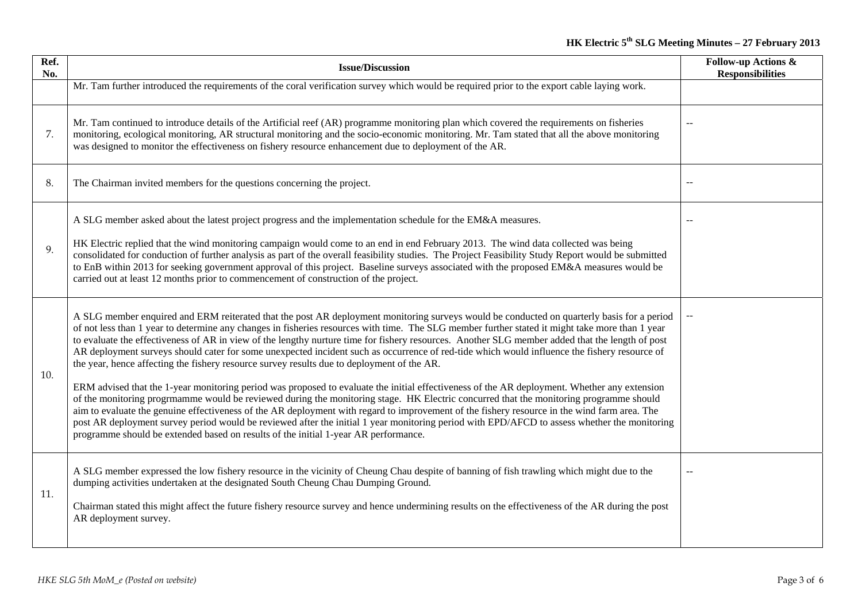| Ref.<br>No. | <b>Issue/Discussion</b>                                                                                                                                                                                                                                                                                                                                                                                                                                                                                                                                                                                                                                                                                                                                                                                                                                                                                                                                                                                                                                                                                                                                                                                                                                                                                                                                                         | <b>Follow-up Actions &amp;</b><br><b>Responsibilities</b> |
|-------------|---------------------------------------------------------------------------------------------------------------------------------------------------------------------------------------------------------------------------------------------------------------------------------------------------------------------------------------------------------------------------------------------------------------------------------------------------------------------------------------------------------------------------------------------------------------------------------------------------------------------------------------------------------------------------------------------------------------------------------------------------------------------------------------------------------------------------------------------------------------------------------------------------------------------------------------------------------------------------------------------------------------------------------------------------------------------------------------------------------------------------------------------------------------------------------------------------------------------------------------------------------------------------------------------------------------------------------------------------------------------------------|-----------------------------------------------------------|
|             | Mr. Tam further introduced the requirements of the coral verification survey which would be required prior to the export cable laying work.                                                                                                                                                                                                                                                                                                                                                                                                                                                                                                                                                                                                                                                                                                                                                                                                                                                                                                                                                                                                                                                                                                                                                                                                                                     |                                                           |
| 7.          | Mr. Tam continued to introduce details of the Artificial reef (AR) programme monitoring plan which covered the requirements on fisheries<br>monitoring, ecological monitoring, AR structural monitoring and the socio-economic monitoring. Mr. Tam stated that all the above monitoring<br>was designed to monitor the effectiveness on fishery resource enhancement due to deployment of the AR.                                                                                                                                                                                                                                                                                                                                                                                                                                                                                                                                                                                                                                                                                                                                                                                                                                                                                                                                                                               |                                                           |
| 8.          | The Chairman invited members for the questions concerning the project.                                                                                                                                                                                                                                                                                                                                                                                                                                                                                                                                                                                                                                                                                                                                                                                                                                                                                                                                                                                                                                                                                                                                                                                                                                                                                                          |                                                           |
| 9.          | A SLG member asked about the latest project progress and the implementation schedule for the EM&A measures.<br>HK Electric replied that the wind monitoring campaign would come to an end in end February 2013. The wind data collected was being<br>consolidated for conduction of further analysis as part of the overall feasibility studies. The Project Feasibility Study Report would be submitted<br>to EnB within 2013 for seeking government approval of this project. Baseline surveys associated with the proposed EM&A measures would be<br>carried out at least 12 months prior to commencement of construction of the project.                                                                                                                                                                                                                                                                                                                                                                                                                                                                                                                                                                                                                                                                                                                                    |                                                           |
| 10.         | A SLG member enquired and ERM reiterated that the post AR deployment monitoring surveys would be conducted on quarterly basis for a period<br>of not less than 1 year to determine any changes in fisheries resources with time. The SLG member further stated it might take more than 1 year<br>to evaluate the effectiveness of AR in view of the lengthy nurture time for fishery resources. Another SLG member added that the length of post<br>AR deployment surveys should cater for some unexpected incident such as occurrence of red-tide which would influence the fishery resource of<br>the year, hence affecting the fishery resource survey results due to deployment of the AR.<br>ERM advised that the 1-year monitoring period was proposed to evaluate the initial effectiveness of the AR deployment. Whether any extension<br>of the monitoring progrmamme would be reviewed during the monitoring stage. HK Electric concurred that the monitoring programme should<br>aim to evaluate the genuine effectiveness of the AR deployment with regard to improvement of the fishery resource in the wind farm area. The<br>post AR deployment survey period would be reviewed after the initial 1 year monitoring period with EPD/AFCD to assess whether the monitoring<br>programme should be extended based on results of the initial 1-year AR performance. |                                                           |
| 11.         | A SLG member expressed the low fishery resource in the vicinity of Cheung Chau despite of banning of fish trawling which might due to the<br>dumping activities undertaken at the designated South Cheung Chau Dumping Ground.<br>Chairman stated this might affect the future fishery resource survey and hence undermining results on the effectiveness of the AR during the post<br>AR deployment survey.                                                                                                                                                                                                                                                                                                                                                                                                                                                                                                                                                                                                                                                                                                                                                                                                                                                                                                                                                                    |                                                           |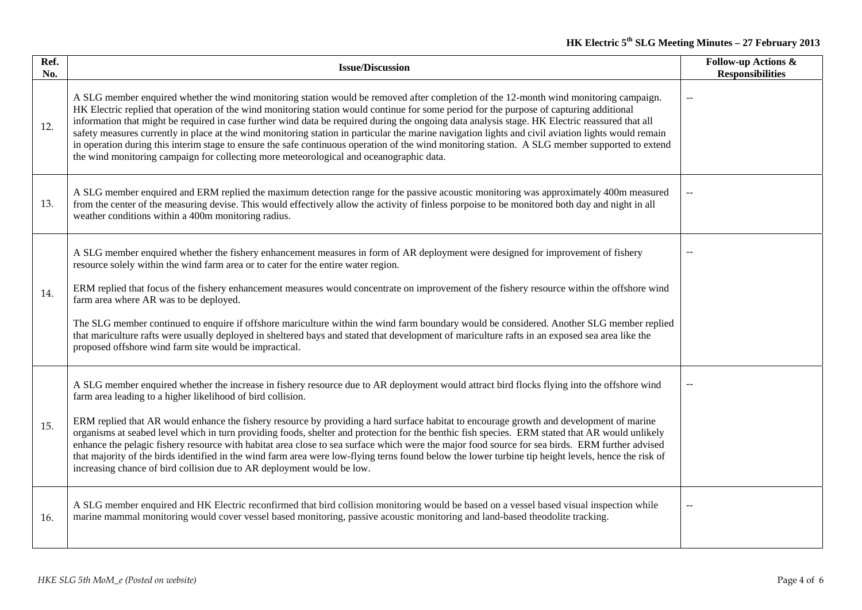# **HK Electric 5th SLG Meeting Minutes – 27 February 2013**

| Ref.<br>No. | <b>Issue/Discussion</b>                                                                                                                                                                                                                                                                                                                                                                                                                                                                                                                                                                                                                                                                                                                                                                                                                                                                        | <b>Follow-up Actions &amp;</b><br><b>Responsibilities</b> |
|-------------|------------------------------------------------------------------------------------------------------------------------------------------------------------------------------------------------------------------------------------------------------------------------------------------------------------------------------------------------------------------------------------------------------------------------------------------------------------------------------------------------------------------------------------------------------------------------------------------------------------------------------------------------------------------------------------------------------------------------------------------------------------------------------------------------------------------------------------------------------------------------------------------------|-----------------------------------------------------------|
| 12.         | A SLG member enquired whether the wind monitoring station would be removed after completion of the 12-month wind monitoring campaign.<br>HK Electric replied that operation of the wind monitoring station would continue for some period for the purpose of capturing additional<br>information that might be required in case further wind data be required during the ongoing data analysis stage. HK Electric reassured that all<br>safety measures currently in place at the wind monitoring station in particular the marine navigation lights and civil aviation lights would remain<br>in operation during this interim stage to ensure the safe continuous operation of the wind monitoring station. A SLG member supported to extend<br>the wind monitoring campaign for collecting more meteorological and oceanographic data.                                                      |                                                           |
| 13.         | A SLG member enquired and ERM replied the maximum detection range for the passive acoustic monitoring was approximately 400m measured<br>from the center of the measuring devise. This would effectively allow the activity of finless porpoise to be monitored both day and night in all<br>weather conditions within a 400m monitoring radius.                                                                                                                                                                                                                                                                                                                                                                                                                                                                                                                                               | $\mathord{\hspace{1pt}\text{--}\hspace{1pt}}$             |
| 14.         | A SLG member enquired whether the fishery enhancement measures in form of AR deployment were designed for improvement of fishery<br>resource solely within the wind farm area or to cater for the entire water region.<br>ERM replied that focus of the fishery enhancement measures would concentrate on improvement of the fishery resource within the offshore wind<br>farm area where AR was to be deployed.<br>The SLG member continued to enquire if offshore mariculture within the wind farm boundary would be considered. Another SLG member replied<br>that mariculture rafts were usually deployed in sheltered bays and stated that development of mariculture rafts in an exposed sea area like the<br>proposed offshore wind farm site would be impractical.                                                                                                                     |                                                           |
| 15.         | A SLG member enquired whether the increase in fishery resource due to AR deployment would attract bird flocks flying into the offshore wind<br>farm area leading to a higher likelihood of bird collision.<br>ERM replied that AR would enhance the fishery resource by providing a hard surface habitat to encourage growth and development of marine<br>organisms at seabed level which in turn providing foods, shelter and protection for the benthic fish species. ERM stated that AR would unlikely<br>enhance the pelagic fishery resource with habitat area close to sea surface which were the major food source for sea birds. ERM further advised<br>that majority of the birds identified in the wind farm area were low-flying terns found below the lower turbine tip height levels, hence the risk of<br>increasing chance of bird collision due to AR deployment would be low. |                                                           |
| 16.         | A SLG member enquired and HK Electric reconfirmed that bird collision monitoring would be based on a vessel based visual inspection while<br>marine mammal monitoring would cover vessel based monitoring, passive acoustic monitoring and land-based theodolite tracking.                                                                                                                                                                                                                                                                                                                                                                                                                                                                                                                                                                                                                     | $-$                                                       |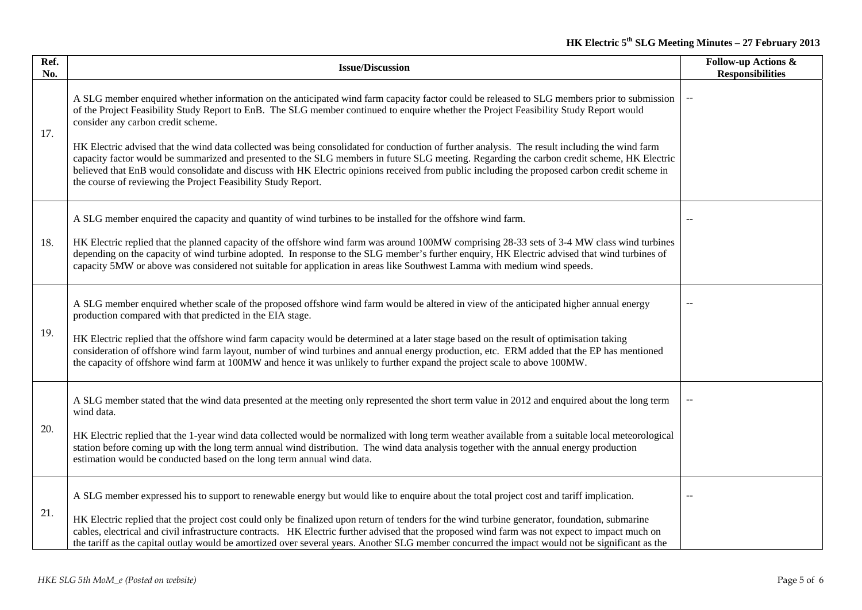# **HK Electric 5th SLG Meeting Minutes – 27 February 2013**

| Ref.<br>No. | <b>Issue/Discussion</b>                                                                                                                                                                                                                                                                                                                                                                                                                                                                                                                                                                                                                                                                                                                                                                                                                        | <b>Follow-up Actions &amp;</b><br><b>Responsibilities</b> |
|-------------|------------------------------------------------------------------------------------------------------------------------------------------------------------------------------------------------------------------------------------------------------------------------------------------------------------------------------------------------------------------------------------------------------------------------------------------------------------------------------------------------------------------------------------------------------------------------------------------------------------------------------------------------------------------------------------------------------------------------------------------------------------------------------------------------------------------------------------------------|-----------------------------------------------------------|
| 17.         | A SLG member enquired whether information on the anticipated wind farm capacity factor could be released to SLG members prior to submission<br>of the Project Feasibility Study Report to EnB. The SLG member continued to enquire whether the Project Feasibility Study Report would<br>consider any carbon credit scheme.<br>HK Electric advised that the wind data collected was being consolidated for conduction of further analysis. The result including the wind farm<br>capacity factor would be summarized and presented to the SLG members in future SLG meeting. Regarding the carbon credit scheme, HK Electric<br>believed that EnB would consolidate and discuss with HK Electric opinions received from public including the proposed carbon credit scheme in<br>the course of reviewing the Project Feasibility Study Report. |                                                           |
| 18.         | A SLG member enquired the capacity and quantity of wind turbines to be installed for the offshore wind farm.<br>HK Electric replied that the planned capacity of the offshore wind farm was around 100MW comprising 28-33 sets of 3-4 MW class wind turbines<br>depending on the capacity of wind turbine adopted. In response to the SLG member's further enquiry, HK Electric advised that wind turbines of<br>capacity 5MW or above was considered not suitable for application in areas like Southwest Lamma with medium wind speeds.                                                                                                                                                                                                                                                                                                      |                                                           |
| 19.         | A SLG member enquired whether scale of the proposed offshore wind farm would be altered in view of the anticipated higher annual energy<br>production compared with that predicted in the EIA stage.<br>HK Electric replied that the offshore wind farm capacity would be determined at a later stage based on the result of optimisation taking<br>consideration of offshore wind farm layout, number of wind turbines and annual energy production, etc. ERM added that the EP has mentioned<br>the capacity of offshore wind farm at 100MW and hence it was unlikely to further expand the project scale to above 100MW.                                                                                                                                                                                                                    |                                                           |
| 20.         | A SLG member stated that the wind data presented at the meeting only represented the short term value in 2012 and enquired about the long term<br>wind data.<br>HK Electric replied that the 1-year wind data collected would be normalized with long term weather available from a suitable local meteorological<br>station before coming up with the long term annual wind distribution. The wind data analysis together with the annual energy production<br>estimation would be conducted based on the long term annual wind data.                                                                                                                                                                                                                                                                                                         |                                                           |
| 21.         | A SLG member expressed his to support to renewable energy but would like to enquire about the total project cost and tariff implication.<br>HK Electric replied that the project cost could only be finalized upon return of tenders for the wind turbine generator, foundation, submarine<br>cables, electrical and civil infrastructure contracts. HK Electric further advised that the proposed wind farm was not expect to impact much on<br>the tariff as the capital outlay would be amortized over several years. Another SLG member concurred the impact would not be significant as the                                                                                                                                                                                                                                               |                                                           |